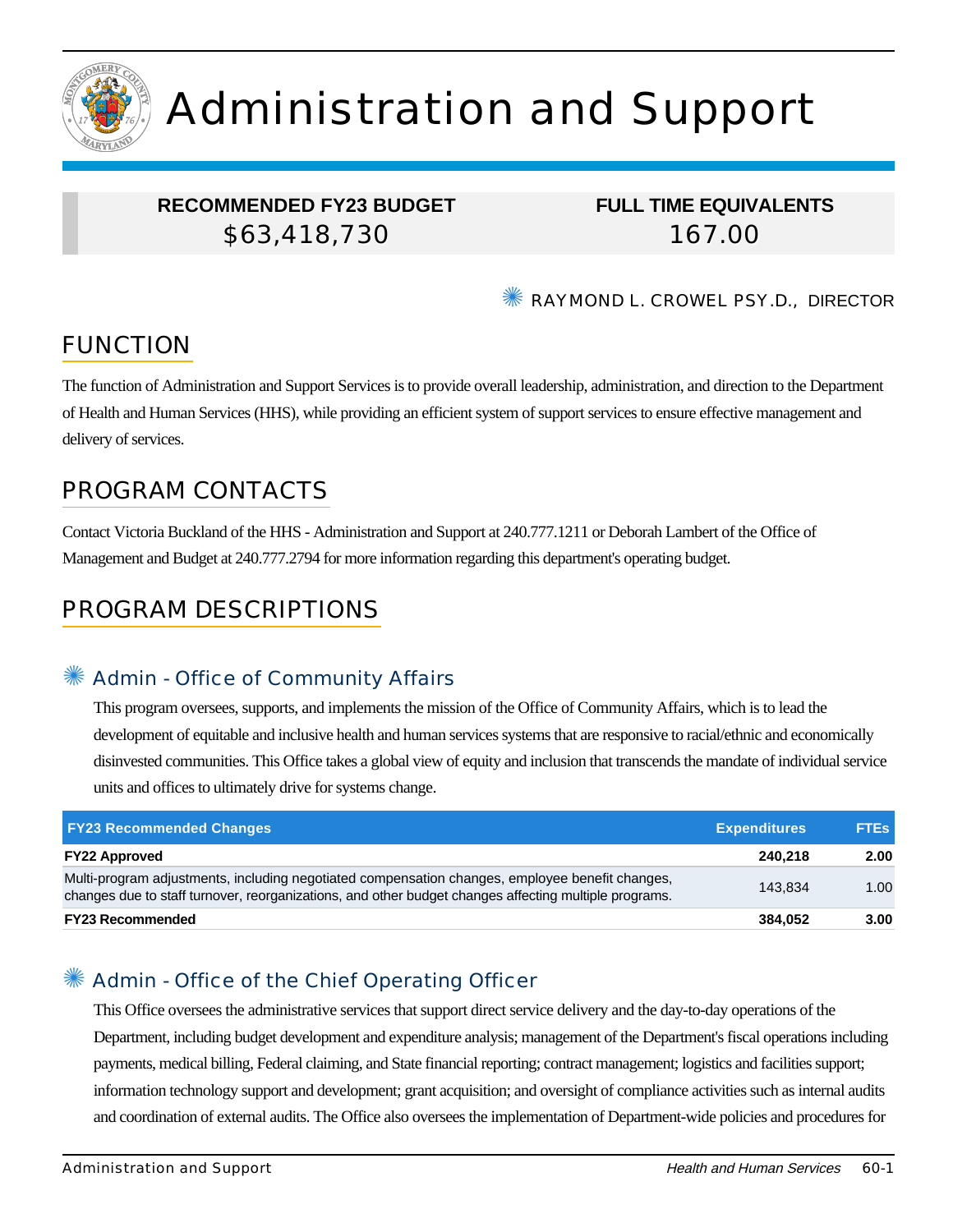

# Administration and Support

## **RECOMMENDED FY23 BUDGET** \$63,418,730

**FULL TIME EQUIVALENTS** 167.00

✺ RAYMOND L. CROWEL PSY.D., DIRECTOR

# FUNCTION

The function of Administration and Support Services is to provide overall leadership, administration, and direction to the Department of Health and Human Services (HHS), while providing an efficient system of support services to ensure effective management and delivery of services.

## PROGRAM CONTACTS

Contact Victoria Buckland of the HHS - Administration and Support at 240.777.1211 or Deborah Lambert of the Office of Management and Budget at 240.777.2794 for more information regarding this department's operating budget.

# PROGRAM DESCRIPTIONS

#### ✺ Admin - Office of Community Affairs

This program oversees, supports, and implements the mission of the Office of Community Affairs, which is to lead the development of equitable and inclusive health and human services systems that are responsive to racial/ethnic and economically disinvested communities. This Office takes a global view of equity and inclusion that transcends the mandate of individual service units and offices to ultimately drive for systems change.

| <b>FY23 Recommended Changes</b>                                                                                                                                                                          | <b>Expenditures</b> | <b>FTEs</b> |
|----------------------------------------------------------------------------------------------------------------------------------------------------------------------------------------------------------|---------------------|-------------|
| <b>FY22 Approved</b>                                                                                                                                                                                     | 240.218             | 2.00        |
| Multi-program adjustments, including negotiated compensation changes, employee benefit changes,<br>changes due to staff turnover, reorganizations, and other budget changes affecting multiple programs. | 143.834             | 1.00        |
| <b>FY23 Recommended</b>                                                                                                                                                                                  | 384.052             | 3.00        |

## Admin - Office of the Chief Operating Officer

This Office oversees the administrative services that support direct service delivery and the day-to-day operations of the Department, including budget development and expenditure analysis; management of the Department's fiscal operations including payments, medical billing, Federal claiming, and State financial reporting; contract management; logistics and facilities support; information technology support and development; grant acquisition; and oversight of compliance activities such as internal audits and coordination of external audits. The Office also oversees the implementation of Department-wide policies and procedures for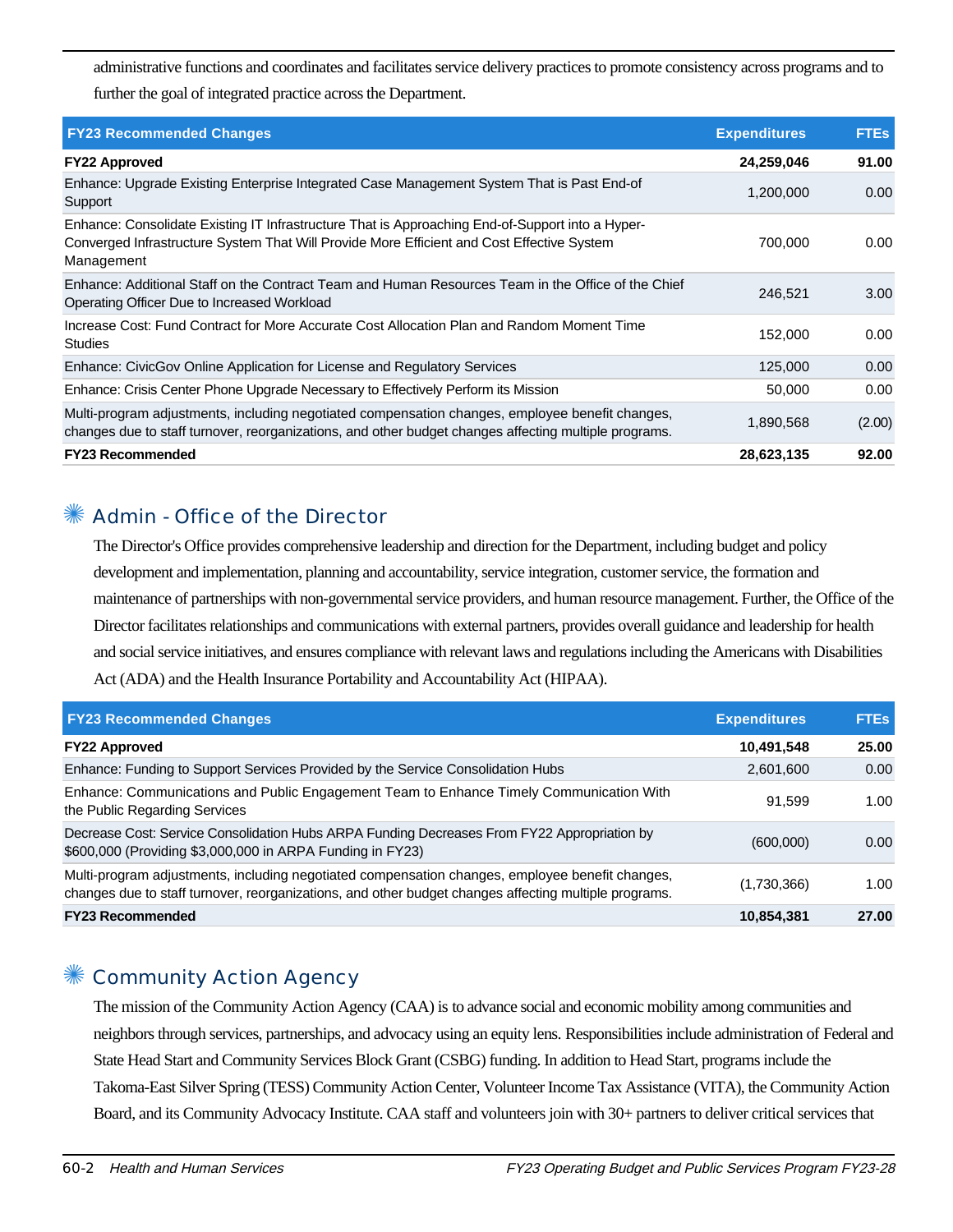administrative functions and coordinates and facilitates service delivery practices to promote consistency across programs and to further the goal of integrated practice across the Department.

| <b>FY23 Recommended Changes</b>                                                                                                                                                                              | <b>Expenditures</b> | <b>FTEs</b> |
|--------------------------------------------------------------------------------------------------------------------------------------------------------------------------------------------------------------|---------------------|-------------|
| <b>FY22 Approved</b>                                                                                                                                                                                         | 24,259,046          | 91.00       |
| Enhance: Upgrade Existing Enterprise Integrated Case Management System That is Past End-of<br>Support                                                                                                        | 1,200,000           | 0.00        |
| Enhance: Consolidate Existing IT Infrastructure That is Approaching End-of-Support into a Hyper-<br>Converged Infrastructure System That Will Provide More Efficient and Cost Effective System<br>Management | 700,000             | 0.00        |
| Enhance: Additional Staff on the Contract Team and Human Resources Team in the Office of the Chief<br>Operating Officer Due to Increased Workload                                                            | 246.521             | 3.00        |
| Increase Cost: Fund Contract for More Accurate Cost Allocation Plan and Random Moment Time<br><b>Studies</b>                                                                                                 | 152,000             | 0.00        |
| Enhance: CivicGov Online Application for License and Regulatory Services                                                                                                                                     | 125,000             | 0.00        |
| Enhance: Crisis Center Phone Upgrade Necessary to Effectively Perform its Mission                                                                                                                            | 50,000              | 0.00        |
| Multi-program adjustments, including negotiated compensation changes, employee benefit changes,<br>changes due to staff turnover, reorganizations, and other budget changes affecting multiple programs.     | 1,890,568           | (2.00)      |
| <b>FY23 Recommended</b>                                                                                                                                                                                      | 28,623,135          | 92.00       |

#### ✺ Admin - Office of the Director

The Director's Office provides comprehensive leadership and direction for the Department, including budget and policy development and implementation, planning and accountability, service integration, customer service, the formation and maintenance of partnerships with non-governmental service providers, and human resource management. Further, the Office of the Director facilitates relationships and communications with external partners, provides overall guidance and leadership for health and social service initiatives, and ensures compliance with relevant laws and regulations including the Americans with Disabilities Act (ADA) and the Health Insurance Portability and Accountability Act (HIPAA).

| <b>FY23 Recommended Changes</b>                                                                                                                                                                          | <b>Expenditures</b> | <b>FTEs</b> |
|----------------------------------------------------------------------------------------------------------------------------------------------------------------------------------------------------------|---------------------|-------------|
| <b>FY22 Approved</b>                                                                                                                                                                                     | 10,491,548          | 25.00       |
| Enhance: Funding to Support Services Provided by the Service Consolidation Hubs                                                                                                                          | 2,601,600           | 0.00        |
| Enhance: Communications and Public Engagement Team to Enhance Timely Communication With<br>the Public Regarding Services                                                                                 | 91.599              | 1.00        |
| Decrease Cost: Service Consolidation Hubs ARPA Funding Decreases From FY22 Appropriation by<br>\$600,000 (Providing \$3,000,000 in ARPA Funding in FY23)                                                 | (600,000)           | 0.00        |
| Multi-program adjustments, including negotiated compensation changes, employee benefit changes,<br>changes due to staff turnover, reorganizations, and other budget changes affecting multiple programs. | (1,730,366)         | 1.00        |
| <b>FY23 Recommended</b>                                                                                                                                                                                  | 10,854,381          | 27.00       |

## ✺ Community Action Agency

The mission of the Community Action Agency (CAA) is to advance social and economic mobility among communities and neighbors through services, partnerships, and advocacy using an equity lens. Responsibilities include administration of Federal and State Head Start and Community Services Block Grant (CSBG) funding. In addition to Head Start, programs include the Takoma-East Silver Spring (TESS) Community Action Center, Volunteer Income Tax Assistance (VITA), the Community Action Board, and its Community Advocacy Institute. CAA staff and volunteers join with 30+ partners to deliver critical services that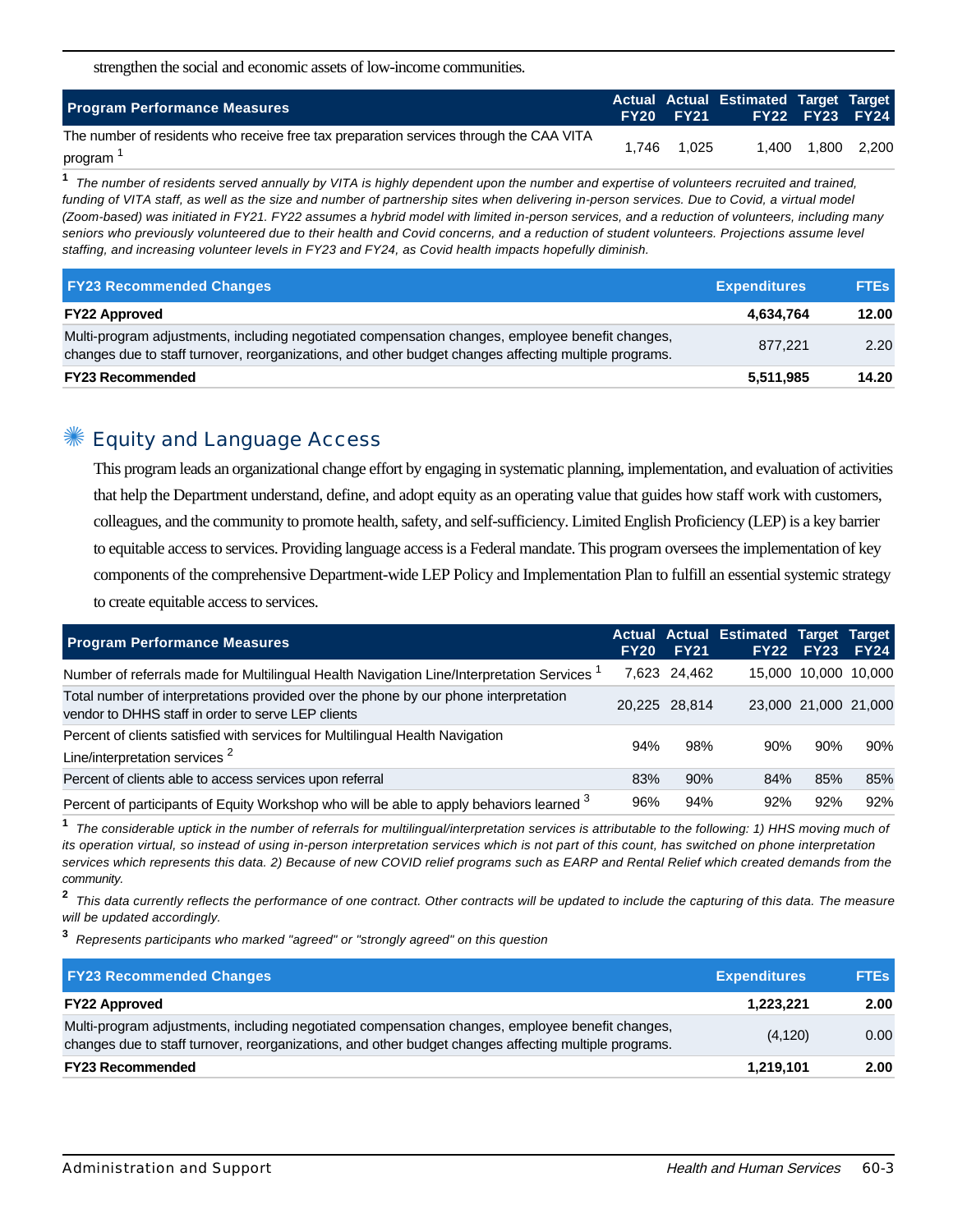strengthen the social and economic assets of low-income communities.

| <b>Program Performance Measures</b>                                                               |       | <b>FY20 FY21</b> | Actual Actual Estimated Target Target | <b>FY22 FY23 FY24</b> |  |
|---------------------------------------------------------------------------------------------------|-------|------------------|---------------------------------------|-----------------------|--|
| The number of residents who receive free tax preparation services through the CAA VITA<br>program | 1.746 | 1.025            |                                       | 1,400 1,800 2,200     |  |

**1** The number of residents served annually by VITA is highly dependent upon the number and expertise of volunteers recruited and trained, funding of VITA staff, as well as the size and number of partnership sites when delivering in-person services. Due to Covid, a virtual model (Zoom-based) was initiated in FY21. FY22 assumes a hybrid model with limited in-person services, and a reduction of volunteers, including many seniors who previously volunteered due to their health and Covid concerns, and a reduction of student volunteers. Projections assume level staffing, and increasing volunteer levels in FY23 and FY24, as Covid health impacts hopefully diminish.

| <b>FY23 Recommended Changes</b>                                                                                                                                                                          | <b>Expenditures</b> | <b>FTEs</b> |
|----------------------------------------------------------------------------------------------------------------------------------------------------------------------------------------------------------|---------------------|-------------|
| <b>FY22 Approved</b>                                                                                                                                                                                     | 4,634,764           | 12.00       |
| Multi-program adjustments, including negotiated compensation changes, employee benefit changes,<br>changes due to staff turnover, reorganizations, and other budget changes affecting multiple programs. | 877.221             | 2.20        |
| <b>FY23 Recommended</b>                                                                                                                                                                                  | 5,511,985           | 14.20       |

#### Equity and Language Access

This program leads an organizational change effort by engaging in systematic planning, implementation, and evaluation of activities that help the Department understand, define, and adopt equity as an operating value that guides how staff work with customers, colleagues, and the community to promote health, safety, and self-sufficiency. Limited English Proficiency (LEP) is a key barrier to equitable access to services. Providing language access is a Federal mandate. This program oversees the implementation of key components of the comprehensive Department-wide LEP Policy and Implementation Plan to fulfill an essential systemic strategy to create equitable access to services.

| <b>Program Performance Measures</b>                                                                                                       | <b>FY20</b> | <b>FY21</b>   | Actual Actual Estimated Target Target | <b>FY22 FY23</b>     | FY24 |
|-------------------------------------------------------------------------------------------------------------------------------------------|-------------|---------------|---------------------------------------|----------------------|------|
| Number of referrals made for Multilingual Health Navigation Line/Interpretation Services                                                  |             | 7,623 24,462  |                                       | 15,000 10,000 10,000 |      |
| Total number of interpretations provided over the phone by our phone interpretation<br>vendor to DHHS staff in order to serve LEP clients |             | 20.225 28.814 |                                       | 23,000 21,000 21,000 |      |
| Percent of clients satisfied with services for Multilingual Health Navigation<br>Line/interpretation services <sup>2</sup>                | 94%         | 98%           | 90%                                   | 90%                  | 90%  |
| Percent of clients able to access services upon referral                                                                                  | 83%         | 90%           | 84%                                   | 85%                  | 85%  |
| Percent of participants of Equity Workshop who will be able to apply behaviors learned <sup>3</sup>                                       | 96%         | 94%           | 92%                                   | 92%                  | 92%  |

**1** The considerable uptick in the number of referrals for multilingual/interpretation services is attributable to the following: 1) HHS moving much of its operation virtual, so instead of using in-person interpretation services which is not part of this count, has switched on phone interpretation services which represents this data. 2) Because of new COVID relief programs such as EARP and Rental Relief which created demands from the community.

**2** This data currently reflects the performance of one contract. Other contracts will be updated to include the capturing of this data. The measure will be updated accordingly.

**3** Represents participants who marked "agreed" or "strongly agreed" on this question

| <b>FY23 Recommended Changes</b>                                                                                                                                                                          | <b>Expenditures</b> | <b>FTEs</b> |
|----------------------------------------------------------------------------------------------------------------------------------------------------------------------------------------------------------|---------------------|-------------|
| <b>FY22 Approved</b>                                                                                                                                                                                     | 1.223.221           | 2.00        |
| Multi-program adjustments, including negotiated compensation changes, employee benefit changes,<br>changes due to staff turnover, reorganizations, and other budget changes affecting multiple programs. | (4, 120)            | 0.00        |
| <b>FY23 Recommended</b>                                                                                                                                                                                  | 1,219,101           | 2.00        |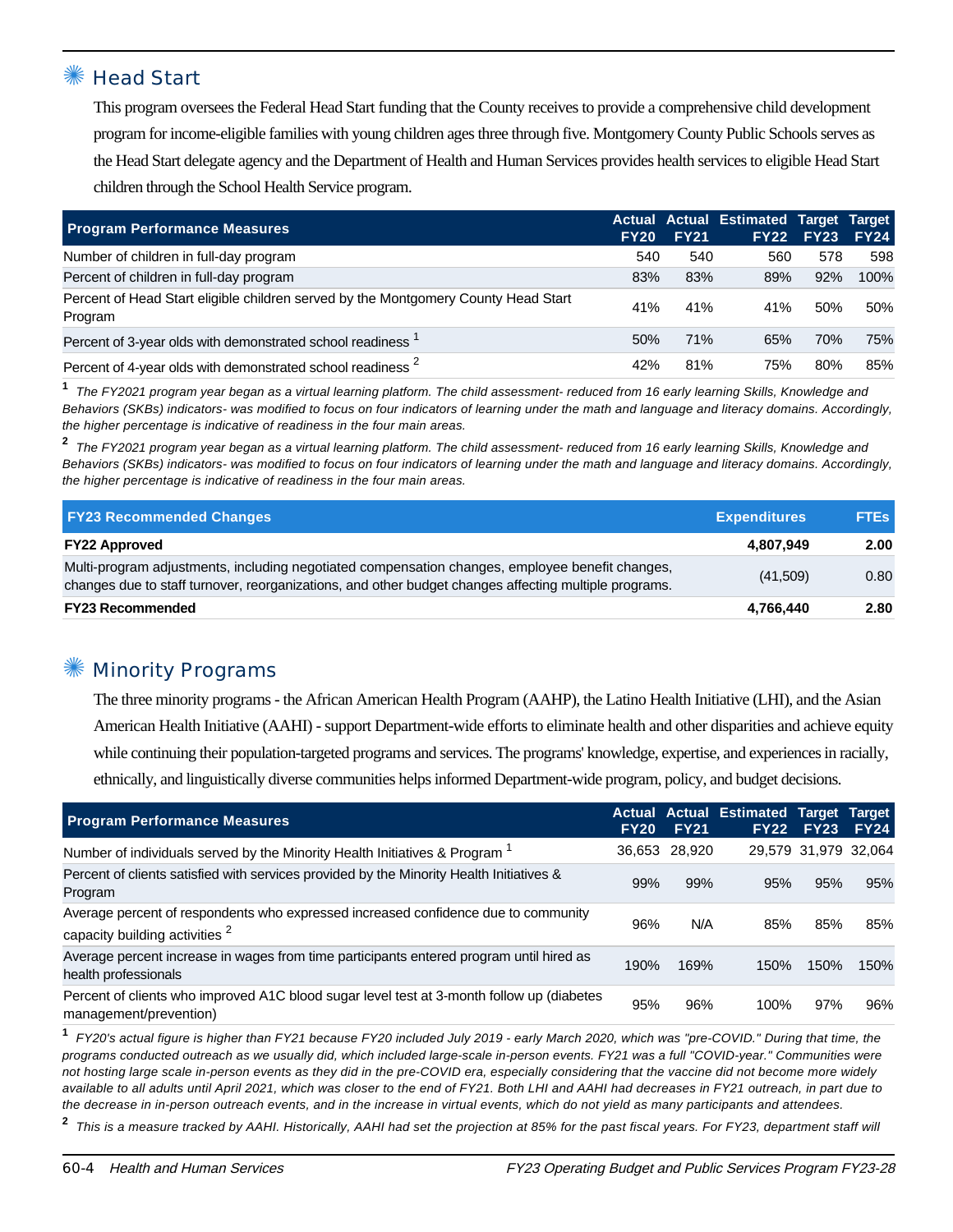#### **Head Start**

This program oversees the Federal Head Start funding that the County receives to provide a comprehensive child development program for income-eligible families with young children ages three through five. Montgomery County Public Schools serves as the Head Start delegate agency and the Department of Health and Human Services provides health services to eligible Head Start children through the School Health Service program.

| <b>Program Performance Measures</b>                                                           | <b>FY20</b> | <b>FY21</b> | Actual Actual Estimated Target Target | <b>FY22 FY23</b> | <b>FY24</b> |
|-----------------------------------------------------------------------------------------------|-------------|-------------|---------------------------------------|------------------|-------------|
| Number of children in full-day program                                                        | 540         | 540         | 560                                   | 578              | 598         |
| Percent of children in full-day program                                                       | 83%         | 83%         | 89%                                   | 92%              | 100%        |
| Percent of Head Start eligible children served by the Montgomery County Head Start<br>Program | 41%         | 41%         | 41%                                   | 50%              | 50%         |
| Percent of 3-year olds with demonstrated school readiness '                                   | 50%         | 71%         | 65%                                   | 70%              | 75%         |
| Percent of 4-year olds with demonstrated school readiness <sup>2</sup>                        | 42%         | 81%         | 75%                                   | 80%              | 85%         |

**1** The FY2021 program year began as a virtual learning platform. The child assessment- reduced from 16 early learning Skills, Knowledge and Behaviors (SKBs) indicators- was modified to focus on four indicators of learning under the math and language and literacy domains. Accordingly, the higher percentage is indicative of readiness in the four main areas.

**2** The FY2021 program year began as a virtual learning platform. The child assessment- reduced from 16 early learning Skills, Knowledge and Behaviors (SKBs) indicators- was modified to focus on four indicators of learning under the math and language and literacy domains. Accordingly, the higher percentage is indicative of readiness in the four main areas.

| <b>FY23 Recommended Changes</b>                                                                                                                                                                          | <b>Expenditures</b> | <b>FTEs</b> |  |
|----------------------------------------------------------------------------------------------------------------------------------------------------------------------------------------------------------|---------------------|-------------|--|
| <b>FY22 Approved</b>                                                                                                                                                                                     | 4.807.949           | 2.00        |  |
| Multi-program adjustments, including negotiated compensation changes, employee benefit changes,<br>changes due to staff turnover, reorganizations, and other budget changes affecting multiple programs. | (41,509)            | 0.80        |  |
| <b>FY23 Recommended</b>                                                                                                                                                                                  | 4,766,440           | 2.80        |  |

#### **Minority Programs**

The three minority programs - the African American Health Program (AAHP), the Latino Health Initiative (LHI), and the Asian American Health Initiative (AAHI) - support Department-wide efforts to eliminate health and other disparities and achieve equity while continuing their population-targeted programs and services. The programs' knowledge, expertise, and experiences in racially, ethnically, and linguistically diverse communities helps informed Department-wide program, policy, and budget decisions.

| <b>Program Performance Measures</b>                                                                                             | <b>FY20</b> | <b>FY21</b> | <b>Actual Actual Estimated Target Target</b> | <b>FY22 FY23</b> | <b>FY24</b>          |
|---------------------------------------------------------------------------------------------------------------------------------|-------------|-------------|----------------------------------------------|------------------|----------------------|
| Number of individuals served by the Minority Health Initiatives & Program <sup>1</sup>                                          | 36,653      | 28,920      |                                              |                  | 29,579 31,979 32,064 |
| Percent of clients satisfied with services provided by the Minority Health Initiatives &<br>Program                             | 99%         | 99%         | 95%                                          | 95%              | 95%                  |
| Average percent of respondents who expressed increased confidence due to community<br>capacity building activities <sup>2</sup> | 96%         | N/A         | 85%                                          | 85%              | 85%                  |
| Average percent increase in wages from time participants entered program until hired as<br>health professionals                 | 190%        | 169%        | 150%                                         | 150%             | 150%                 |
| Percent of clients who improved A1C blood sugar level test at 3-month follow up (diabetes<br>management/prevention)             | 95%         | 96%         | 100%                                         | 97%              | 96%                  |

**1** FY20's actual figure is higher than FY21 because FY20 included July 2019 - early March 2020, which was "pre-COVID." During that time, the programs conducted outreach as we usually did, which included large-scale in-person events. FY21 was a full "COVID-year." Communities were not hosting large scale in-person events as they did in the pre-COVID era, especially considering that the vaccine did not become more widely available to all adults until April 2021, which was closer to the end of FY21. Both LHI and AAHI had decreases in FY21 outreach, in part due to the decrease in in-person outreach events, and in the increase in virtual events, which do not yield as many participants and attendees.

**2** This is a measure tracked by AAHI. Historically, AAHI had set the projection at 85% for the past fiscal years. For FY23, department staff will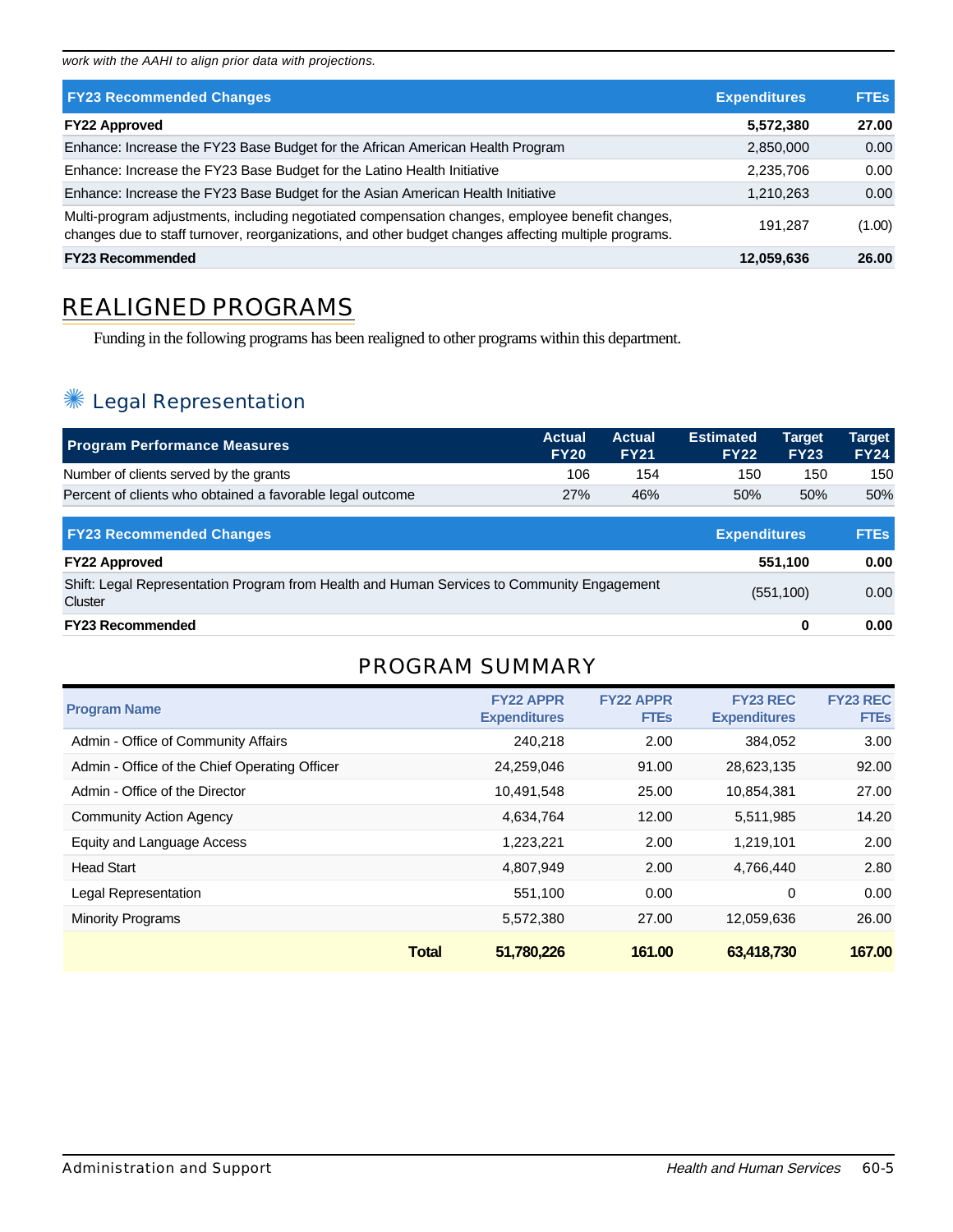work with the AAHI to align prior data with projections.

| <b>FY23 Recommended Changes</b>                                                                                                                                                                          | <b>Expenditures</b> | <b>FTEs</b> |
|----------------------------------------------------------------------------------------------------------------------------------------------------------------------------------------------------------|---------------------|-------------|
| <b>FY22 Approved</b>                                                                                                                                                                                     | 5,572,380           | 27.00       |
| Enhance: Increase the FY23 Base Budget for the African American Health Program                                                                                                                           | 2,850,000           | 0.00        |
| Enhance: Increase the FY23 Base Budget for the Latino Health Initiative                                                                                                                                  | 2,235,706           | 0.00        |
| Enhance: Increase the FY23 Base Budget for the Asian American Health Initiative                                                                                                                          | 1,210,263           | 0.00        |
| Multi-program adjustments, including negotiated compensation changes, employee benefit changes,<br>changes due to staff turnover, reorganizations, and other budget changes affecting multiple programs. | 191.287             | (1.00)      |
| <b>FY23 Recommended</b>                                                                                                                                                                                  | 12,059,636          | 26.00       |

# REALIGNED PROGRAMS

Funding in the following programs has been realigned to other programs within this department.

# ✺ Legal Representation

| <b>Program Performance Measures</b>                       | <b>Actual</b><br><b>FY20</b> | <b>Actual</b><br><b>FY21</b> | <b>Estimated</b><br><b>FY22</b> | <b>Target</b><br><b>FY23</b> | <b>Target</b><br><b>FY24</b> |
|-----------------------------------------------------------|------------------------------|------------------------------|---------------------------------|------------------------------|------------------------------|
| Number of clients served by the grants                    | 106                          | 154                          | 150                             | 150                          | 150                          |
| Percent of clients who obtained a favorable legal outcome | 27%                          | 46%                          | 50%                             | 50%                          | 50%                          |

| <b>FY23 Recommended Changes</b>                                                                       | <b>Expenditures</b> | <b>FTEs</b> |
|-------------------------------------------------------------------------------------------------------|---------------------|-------------|
| <b>FY22 Approved</b>                                                                                  | 551.100             | 0.00        |
| Shift: Legal Representation Program from Health and Human Services to Community Engagement<br>Cluster | (551, 100)          | 0.00        |
| <b>FY23 Recommended</b>                                                                               |                     | 0.00        |

## PROGRAM SUMMARY

| <b>Program Name</b>                           | <b>FY22 APPR</b><br><b>Expenditures</b> | <b>FY22 APPR</b><br><b>FTEs</b> | <b>FY23 REC</b><br><b>Expenditures</b> | <b>FY23 REC</b><br><b>FTEs</b> |
|-----------------------------------------------|-----------------------------------------|---------------------------------|----------------------------------------|--------------------------------|
| Admin - Office of Community Affairs           | 240,218                                 | 2.00                            | 384,052                                | 3.00                           |
| Admin - Office of the Chief Operating Officer | 24,259,046                              | 91.00                           | 28,623,135                             | 92.00                          |
| Admin - Office of the Director                | 10,491,548                              | 25.00                           | 10,854,381                             | 27.00                          |
| Community Action Agency                       | 4,634,764                               | 12.00                           | 5,511,985                              | 14.20                          |
| Equity and Language Access                    | 1,223,221                               | 2.00                            | 1,219,101                              | 2.00                           |
| <b>Head Start</b>                             | 4.807.949                               | 2.00                            | 4,766,440                              | 2.80                           |
| Legal Representation                          | 551.100                                 | 0.00                            | 0                                      | 0.00                           |
| <b>Minority Programs</b>                      | 5,572,380                               | 27.00                           | 12,059,636                             | 26.00                          |
|                                               | 51,780,226<br><b>Total</b>              | 161.00                          | 63,418,730                             | 167.00                         |